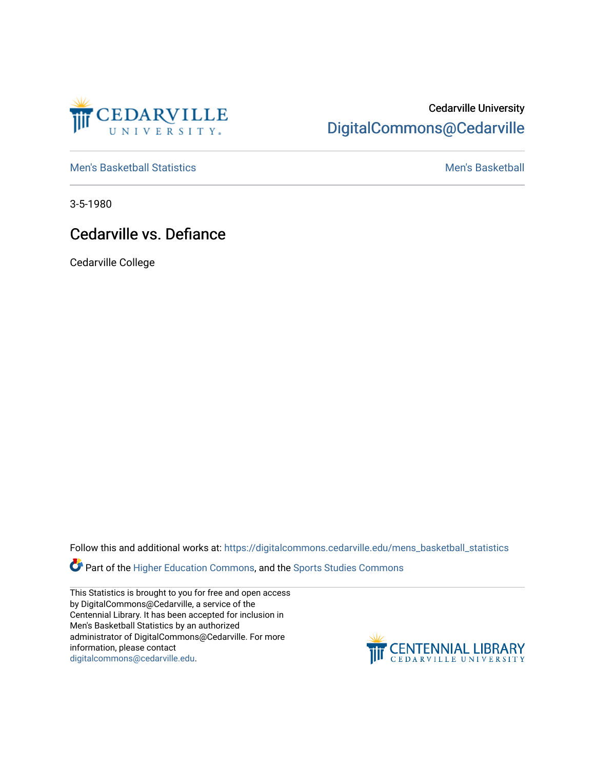

## Cedarville University [DigitalCommons@Cedarville](https://digitalcommons.cedarville.edu/)

[Men's Basketball Statistics](https://digitalcommons.cedarville.edu/mens_basketball_statistics) [Men's Basketball](https://digitalcommons.cedarville.edu/mens_basketball) 

3-5-1980

## Cedarville vs. Defiance

Cedarville College

Follow this and additional works at: [https://digitalcommons.cedarville.edu/mens\\_basketball\\_statistics](https://digitalcommons.cedarville.edu/mens_basketball_statistics?utm_source=digitalcommons.cedarville.edu%2Fmens_basketball_statistics%2F307&utm_medium=PDF&utm_campaign=PDFCoverPages) 

**Part of the [Higher Education Commons,](http://network.bepress.com/hgg/discipline/1245?utm_source=digitalcommons.cedarville.edu%2Fmens_basketball_statistics%2F307&utm_medium=PDF&utm_campaign=PDFCoverPages) and the Sports Studies Commons** 

This Statistics is brought to you for free and open access by DigitalCommons@Cedarville, a service of the Centennial Library. It has been accepted for inclusion in Men's Basketball Statistics by an authorized administrator of DigitalCommons@Cedarville. For more information, please contact [digitalcommons@cedarville.edu](mailto:digitalcommons@cedarville.edu).